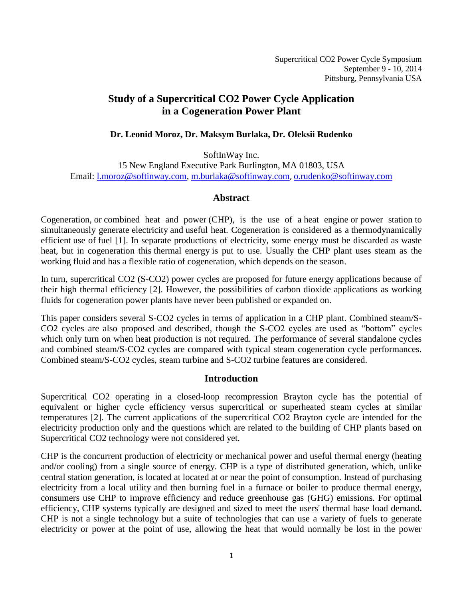Supercritical CO2 Power Cycle Symposium September 9 - 10, 2014 Pittsburg, Pennsylvania USA

# **Study of a Supercritical CO2 Power Cycle Application in a Cogeneration Power Plant**

## **Dr. Leonid Moroz, Dr. Maksym Burlaka, Dr. Oleksii Rudenko**

SoftInWay Inc.

15 New England Executive Park Burlington, MA 01803, USA Email: [l.moroz@softinway.com,](file:///C:/Users/ros/AxCycle/Articles/4th%20International%20Symposium%20on%20Supercritical%20CO2/l.moroz@softinway.com) [m.burlaka@softinway.com](file:///C:/Users/ros/AxCycle/Articles/4th%20International%20Symposium%20on%20Supercritical%20CO2/m.burlaka@softinway.com), [o.rudenko@softinway.com](mailto:o.rudenko@softinway.com)

## **Abstract**

Cogeneration, or combined heat and power (CHP), is the use of a [heat engine](http://en.wikipedia.org/wiki/Heat_engine) or [power station](http://en.wikipedia.org/wiki/Power_station) to simultaneously generate [electricity](http://en.wikipedia.org/wiki/Electricity) and [useful heat.](http://en.wikipedia.org/wiki/Heat) Cogeneration is considered as a [thermodynamically](http://en.wikipedia.org/wiki/Thermal_efficiency)  [efficient](http://en.wikipedia.org/wiki/Thermal_efficiency) use of [fuel](http://en.wikipedia.org/wiki/Fuel) [1]. In separate productions of electricity, some energy must be discarded as [waste](http://en.wikipedia.org/wiki/Waste_heat)  [heat,](http://en.wikipedia.org/wiki/Waste_heat) but in cogeneration this [thermal energy](http://en.wikipedia.org/wiki/Thermal_energy) is put to use. Usually the CHP plant uses steam as the working fluid and has a flexible ratio of cogeneration, which depends on the season.

In turn, supercritical CO2 (S-CO2) power cycles are proposed for future energy applications because of their high thermal efficiency [2]. However, the possibilities of carbon dioxide applications as working fluids for cogeneration power plants have never been published or expanded on.

This paper considers several S-CO2 cycles in terms of application in a CHP plant. Combined steam/S-CO2 cycles are also proposed and described, though the S-CO2 cycles are used as "bottom" cycles which only turn on when heat production is not required. The performance of several standalone cycles and combined steam/S-CO2 cycles are compared with typical steam cogeneration cycle performances. Combined steam/S-CO2 cycles, steam turbine and S-CO2 turbine features are considered.

# **Introduction**

Supercritical CO2 operating in a closed-loop recompression Brayton cycle has the potential of equivalent or higher cycle efficiency versus supercritical or superheated steam cycles at similar temperatures [2]. The current applications of the supercritical CO2 Brayton cycle are intended for the electricity production only and the questions which are related to the building of CHP plants based on Supercritical CO2 technology were not considered yet.

CHP is the concurrent production of electricity or mechanical power and useful thermal energy (heating and/or cooling) from a single source of energy. CHP is a type of distributed generation, which, unlike central station generation, is located at located at or near the point of consumption. Instead of purchasing electricity from a local utility and then burning fuel in a furnace or boiler to produce thermal energy, consumers use CHP to improve efficiency and reduce greenhouse gas (GHG) emissions. For optimal efficiency, CHP systems typically are designed and sized to meet the users' thermal base load demand. CHP is not a single technology but a suite of technologies that can use a variety of fuels to generate electricity or power at the point of use, allowing the heat that would normally be lost in the power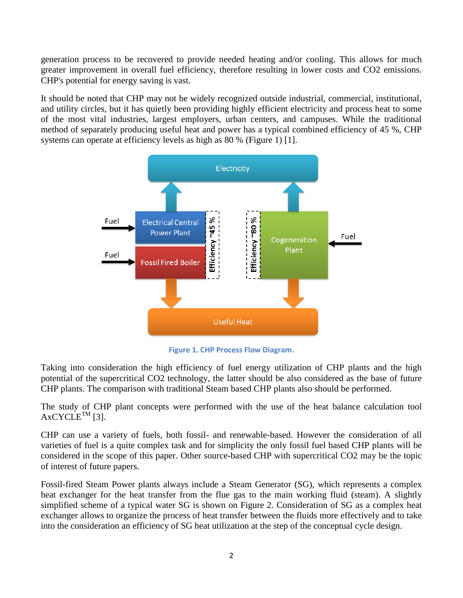generation process to be recovered to provide needed heating and/or cooling. This allows for much greater improvement in overall fuel efficiency, therefore resulting in lower costs and CO2 emissions. CHP's potential for energy saving is vast.

It should be noted that CHP may not be widely recognized outside industrial, commercial, institutional, and utility circles, but it has quietly been providing highly efficient electricity and process heat to some of the most vital industries, largest employers, urban centers, and campuses. While the traditional method of separately producing useful heat and power has a typical combined efficiency of 45 %, CHP systems can operate at efficiency levels as high as 80 % (Figure 1) [1].



**Figure 1. CHP Process Flow Diagram.**

Taking into consideration the high efficiency of fuel energy utilization of CHP plants and the high potential of the supercritical CO2 technology, the latter should be also considered as the base of future CHP plants. The comparison with traditional Steam based CHP plants also should be performed.

The study of CHP plant concepts were performed with the use of the heat balance calculation tool  $AXCYCLE^{TM}$  [3].

CHP can use a variety of fuels, both fossil- and renewable-based. However the consideration of all varieties of fuel is a quite complex task and for simplicity the only fossil fuel based CHP plants will be considered in the scope of this paper. Other source-based CHP with supercritical CO2 may be the topic of interest of future papers.

Fossil-fired Steam Power plants always include a Steam Generator (SG), which represents a complex heat exchanger for the heat transfer from the flue gas to the main working fluid (steam). A slightly simplified scheme of a typical water SG is shown on Figure 2. Consideration of SG as a complex heat exchanger allows to organize the process of heat transfer between the fluids more effectively and to take into the consideration an efficiency of SG heat utilization at the step of the conceptual cycle design.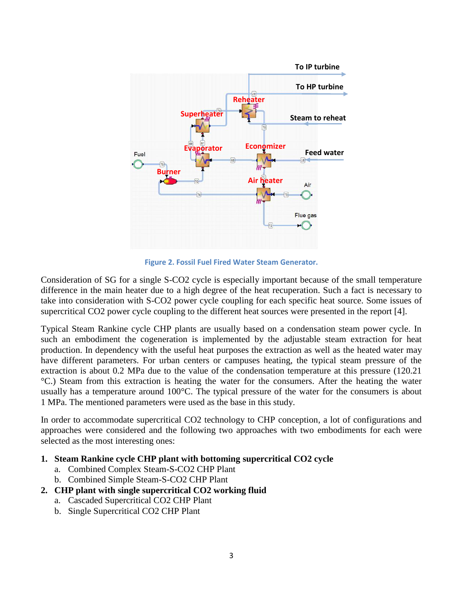

**Figure 2. Fossil Fuel Fired Water Steam Generator.**

Consideration of SG for a single S-CO2 cycle is especially important because of the small temperature difference in the main heater due to a high degree of the heat recuperation. Such a fact is necessary to take into consideration with S-CO2 power cycle coupling for each specific heat source. Some issues of supercritical CO2 power cycle coupling to the different heat sources were presented in the report [4].

Typical Steam Rankine cycle CHP plants are usually based on a condensation steam power cycle. In such an embodiment the cogeneration is implemented by the adjustable steam extraction for heat production. In dependency with the useful heat purposes the extraction as well as the heated water may have different parameters. For urban centers or campuses heating, the typical steam pressure of the extraction is about 0.2 MPa due to the value of the condensation temperature at this pressure (120.21 °C.) Steam from this extraction is heating the water for the consumers. After the heating the water usually has a temperature around 100°C. The typical pressure of the water for the consumers is about 1 MPa. The mentioned parameters were used as the base in this study.

In order to accommodate supercritical CO2 technology to CHP conception, a lot of configurations and approaches were considered and the following two approaches with two embodiments for each were selected as the most interesting ones:

## **1. Steam Rankine cycle CHP plant with bottoming supercritical CO2 cycle**

- a. Combined Complex Steam-S-CO2 CHP Plant
- b. Combined Simple Steam-S-CO2 CHP Plant

## **2. CHP plant with single supercritical CO2 working fluid**

- a. Cascaded Supercritical CO2 CHP Plant
- b. Single Supercritical CO2 CHP Plant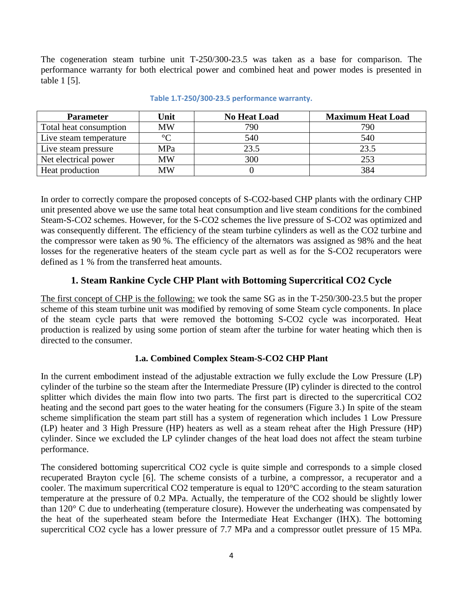The cogeneration steam turbine unit T-250/300-23.5 was taken as a base for comparison. The performance warranty for both electrical power and combined heat and power modes is presented in table 1 [5].

| <b>Parameter</b>       | Unit      | <b>No Heat Load</b> | <b>Maximum Heat Load</b> |
|------------------------|-----------|---------------------|--------------------------|
| Total heat consumption | <b>MW</b> | 790                 | 790                      |
| Live steam temperature | $\circ$   | 540                 | 540                      |
| Live steam pressure    | MPa       | 23.5                | 23.5                     |
| Net electrical power   | MW        | 300                 | 253                      |
| Heat production        | MW        |                     | 384                      |

#### **Table 1.T-250/300-23.5 performance warranty.**

In order to correctly compare the proposed concepts of S-CO2-based CHP plants with the ordinary CHP unit presented above we use the same total heat consumption and live steam conditions for the combined Steam-S-CO2 schemes. However, for the S-CO2 schemes the live pressure of S-CO2 was optimized and was consequently different. The efficiency of the steam turbine cylinders as well as the CO2 turbine and the compressor were taken as 90 %. The efficiency of the alternators was assigned as 98% and the heat losses for the regenerative heaters of the steam cycle part as well as for the S-CO2 recuperators were defined as 1 % from the transferred heat amounts.

# **1. Steam Rankine Cycle CHP Plant with Bottoming Supercritical CO2 Cycle**

The first concept of CHP is the following: we took the same SG as in the T-250/300-23.5 but the proper scheme of this steam turbine unit was modified by removing of some Steam cycle components. In place of the steam cycle parts that were removed the bottoming S-CO2 cycle was incorporated. Heat production is realized by using some portion of steam after the turbine for water heating which then is directed to the consumer.

# **1.a. Combined Complex Steam-S-CO2 CHP Plant**

In the current embodiment instead of the adjustable extraction we fully exclude the Low Pressure (LP) cylinder of the turbine so the steam after the Intermediate Pressure (IP) cylinder is directed to the control splitter which divides the main flow into two parts. The first part is directed to the supercritical CO2 heating and the second part goes to the water heating for the consumers (Figure 3.) In spite of the steam scheme simplification the steam part still has a system of regeneration which includes 1 Low Pressure (LP) heater and 3 High Pressure (HP) heaters as well as a steam reheat after the High Pressure (HP) cylinder. Since we excluded the LP cylinder changes of the heat load does not affect the steam turbine performance.

The considered bottoming supercritical CO2 cycle is quite simple and corresponds to a simple closed recuperated Brayton cycle [6]. The scheme consists of a turbine, a compressor, a recuperator and a cooler. The maximum supercritical CO2 temperature is equal to 120°C according to the steam saturation temperature at the pressure of 0.2 MPa. Actually, the temperature of the CO2 should be slightly lower than 120° C due to underheating (temperature closure). However the underheating was compensated by the heat of the superheated steam before the Intermediate Heat Exchanger (IHX). The bottoming supercritical CO2 cycle has a lower pressure of 7.7 MPa and a compressor outlet pressure of 15 MPa.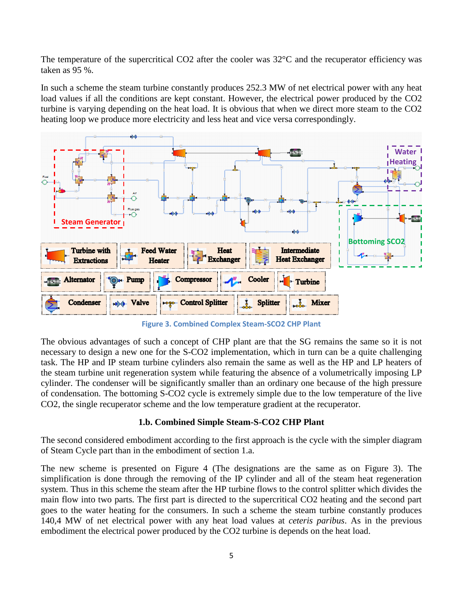The temperature of the supercritical CO2 after the cooler was 32°C and the recuperator efficiency was taken as 95 %.

In such a scheme the steam turbine constantly produces 252.3 MW of net electrical power with any heat load values if all the conditions are kept constant. However, the electrical power produced by the CO2 turbine is varying depending on the heat load. It is obvious that when we direct more steam to the CO2 heating loop we produce more electricity and less heat and vice versa correspondingly.



**Figure 3. Combined Complex Steam-SCO2 CHP Plant**

The obvious advantages of such a concept of CHP plant are that the SG remains the same so it is not necessary to design a new one for the S-CO2 implementation, which in turn can be a quite challenging task. The HP and IP steam turbine cylinders also remain the same as well as the HP and LP heaters of the steam turbine unit regeneration system while featuring the absence of a volumetrically imposing LP cylinder. The condenser will be significantly smaller than an ordinary one because of the high pressure of condensation. The bottoming S-CO2 cycle is extremely simple due to the low temperature of the live CO2, the single recuperator scheme and the low temperature gradient at the recuperator.

## **1.b. Combined Simple Steam-S-CO2 CHP Plant**

The second considered embodiment according to the first approach is the cycle with the simpler diagram of Steam Cycle part than in the embodiment of section 1.a.

The new scheme is presented on Figure 4 (The designations are the same as on Figure 3). The simplification is done through the removing of the IP cylinder and all of the steam heat regeneration system. Thus in this scheme the steam after the HP turbine flows to the control splitter which divides the main flow into two parts. The first part is directed to the supercritical CO2 heating and the second part goes to the water heating for the consumers. In such a scheme the steam turbine constantly produces 140,4 MW of net electrical power with any heat load values at *ceteris paribus*. As in the previous embodiment the electrical power produced by the CO2 turbine is depends on the heat load.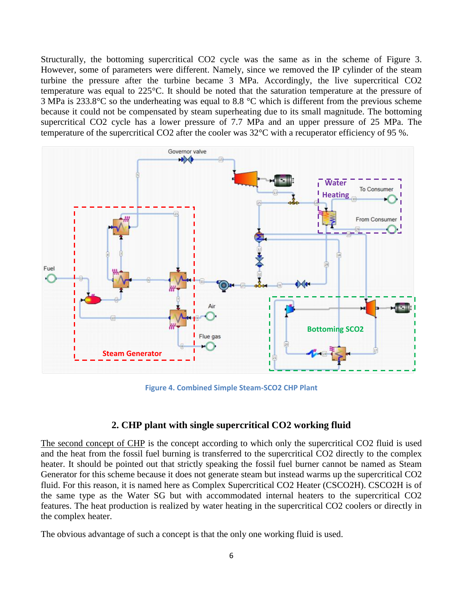Structurally, the bottoming supercritical CO2 cycle was the same as in the scheme of Figure 3. However, some of parameters were different. Namely, since we removed the IP cylinder of the steam turbine the pressure after the turbine became 3 MPa. Accordingly, the live supercritical CO2 temperature was equal to 225°C. It should be noted that the saturation temperature at the pressure of 3 MPa is 233.8°C so the underheating was equal to 8.8 °C which is different from the previous scheme because it could not be compensated by steam superheating due to its small magnitude. The bottoming supercritical CO2 cycle has a lower pressure of 7.7 MPa and an upper pressure of 25 MPa. The temperature of the supercritical CO2 after the cooler was 32°C with a recuperator efficiency of 95 %.



**Figure 4. Combined Simple Steam-SCO2 CHP Plant**

## **2. CHP plant with single supercritical CO2 working fluid**

The second concept of CHP is the concept according to which only the supercritical CO2 fluid is used and the heat from the fossil fuel burning is transferred to the supercritical CO2 directly to the complex heater. It should be pointed out that strictly speaking the fossil fuel burner cannot be named as Steam Generator for this scheme because it does not generate steam but instead warms up the supercritical CO2 fluid. For this reason, it is named here as Complex Supercritical CO2 Heater (CSCO2H). CSCO2H is of the same type as the Water SG but with accommodated internal heaters to the supercritical CO2 features. The heat production is realized by water heating in the supercritical CO2 coolers or directly in the complex heater.

The obvious advantage of such a concept is that the only one working fluid is used.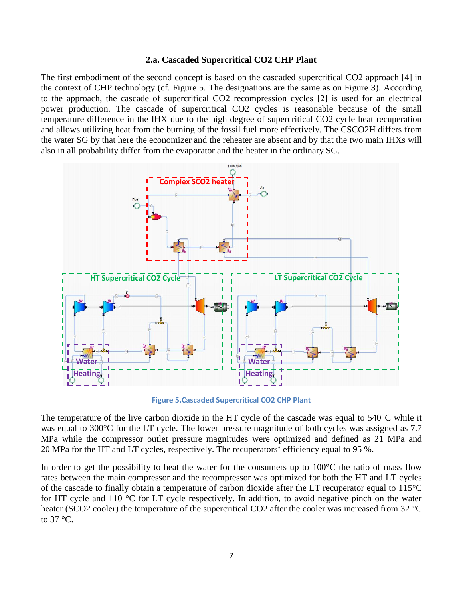#### **2.a. Cascaded Supercritical CO2 CHP Plant**

The first embodiment of the second concept is based on the cascaded supercritical CO2 approach [4] in the context of CHP technology (cf. Figure 5. The designations are the same as on Figure 3). According to the approach, the cascade of supercritical CO2 recompression cycles [2] is used for an electrical power production. The cascade of supercritical CO2 cycles is reasonable because of the small temperature difference in the IHX due to the high degree of supercritical CO2 cycle heat recuperation and allows utilizing heat from the burning of the fossil fuel more effectively. The CSCO2H differs from the water SG by that here the economizer and the reheater are absent and by that the two main IHXs will also in all probability differ from the evaporator and the heater in the ordinary SG.



**Figure 5.Cascaded Supercritical CO2 CHP Plant**

The temperature of the live carbon dioxide in the HT cycle of the cascade was equal to  $540^{\circ}$ C while it was equal to 300°C for the LT cycle. The lower pressure magnitude of both cycles was assigned as 7.7 MPa while the compressor outlet pressure magnitudes were optimized and defined as 21 MPa and 20 MPa for the HT and LT cycles, respectively. The recuperators' efficiency equal to 95 %.

In order to get the possibility to heat the water for the consumers up to  $100^{\circ}$ C the ratio of mass flow rates between the main compressor and the recompressor was optimized for both the HT and LT cycles of the cascade to finally obtain a temperature of carbon dioxide after the LT recuperator equal to 115°C for HT cycle and 110 °C for LT cycle respectively. In addition, to avoid negative pinch on the water heater (SCO2 cooler) the temperature of the supercritical CO2 after the cooler was increased from 32 °C to 37 °C.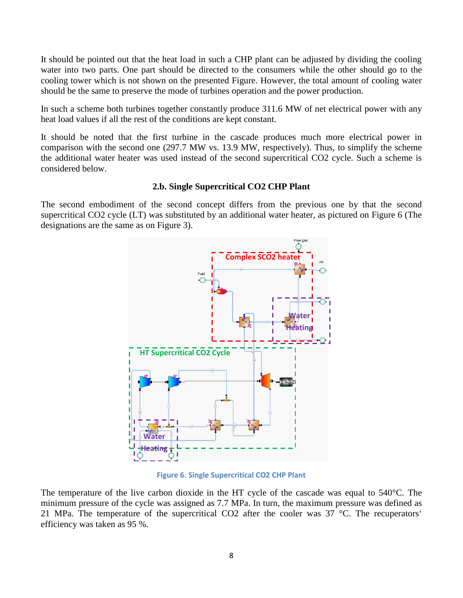It should be pointed out that the heat load in such a CHP plant can be adjusted by dividing the cooling water into two parts. One part should be directed to the consumers while the other should go to the cooling tower which is not shown on the presented Figure. However, the total amount of cooling water should be the same to preserve the mode of turbines operation and the power production.

In such a scheme both turbines together constantly produce 311.6 MW of net electrical power with any heat load values if all the rest of the conditions are kept constant.

It should be noted that the first turbine in the cascade produces much more electrical power in comparison with the second one (297.7 MW vs. 13.9 MW, respectively). Thus, to simplify the scheme the additional water heater was used instead of the second supercritical CO2 cycle. Such a scheme is considered below.

#### **2.b. Single Supercritical CO2 CHP Plant**

The second embodiment of the second concept differs from the previous one by that the second supercritical CO2 cycle (LT) was substituted by an additional water heater, as pictured on Figure 6 (The designations are the same as on Figure 3).



**Figure 6. Single Supercritical CO2 CHP Plant**

The temperature of the live carbon dioxide in the HT cycle of the cascade was equal to 540°C. The minimum pressure of the cycle was assigned as 7.7 MPa. In turn, the maximum pressure was defined as 21 MPa. The temperature of the supercritical CO2 after the cooler was 37 °C. The recuperators' efficiency was taken as 95 %.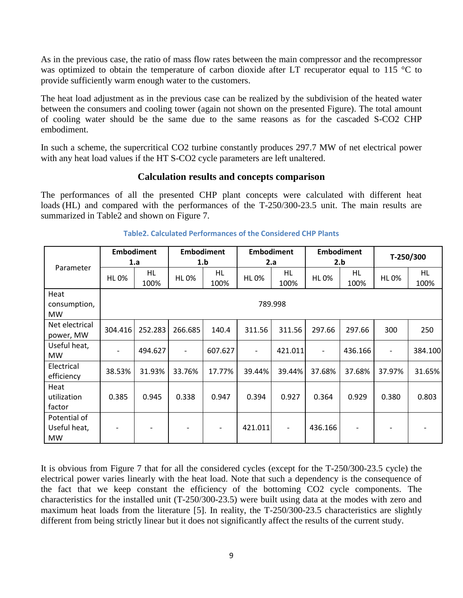As in the previous case, the ratio of mass flow rates between the main compressor and the recompressor was optimized to obtain the temperature of carbon dioxide after LT recuperator equal to 115 °C to provide sufficiently warm enough water to the customers.

The heat load adjustment as in the previous case can be realized by the subdivision of the heated water between the consumers and cooling tower (again not shown on the presented Figure). The total amount of cooling water should be the same due to the same reasons as for the cascaded S-CO2 CHP embodiment.

In such a scheme, the supercritical CO2 turbine constantly produces 297.7 MW of net electrical power with any heat load values if the HT S-CO2 cycle parameters are left unaltered.

## **Calculation results and concepts comparison**

The performances of all the presented CHP plant concepts were calculated with different heat loads (HL) and compared with the performances of the T-250/300-23.5 unit. The main results are summarized in [Table2](#page-8-0) and shown on Figure 7.

<span id="page-8-0"></span>

| Parameter                                 | <b>Embodiment</b><br>1.a |                          | <b>Embodiment</b><br>1.b |                          | <b>Embodiment</b><br>2.a |                              | <b>Embodiment</b><br>2.b |                   | T-250/300                |            |  |  |
|-------------------------------------------|--------------------------|--------------------------|--------------------------|--------------------------|--------------------------|------------------------------|--------------------------|-------------------|--------------------------|------------|--|--|
|                                           | <b>HL0%</b>              | HL<br>100%               | <b>HL0%</b>              | HL.<br>100%              | <b>HL0%</b>              | HL<br>100%                   | <b>HL0%</b>              | <b>HL</b><br>100% | <b>HL0%</b>              | HL<br>100% |  |  |
| Heat<br>consumption,<br><b>MW</b>         | 789.998                  |                          |                          |                          |                          |                              |                          |                   |                          |            |  |  |
| Net electrical<br>power, MW               | 304.416                  | 252.283                  | 266.685                  | 140.4                    | 311.56                   | 311.56                       | 297.66                   | 297.66            | 300                      | 250        |  |  |
| Useful heat,<br><b>MW</b>                 |                          | 494.627                  | $\overline{\phantom{a}}$ | 607.627                  | -                        | 421.011                      | $\overline{\phantom{a}}$ | 436.166           | $\overline{\phantom{0}}$ | 384.100    |  |  |
| Electrical<br>efficiency                  | 38.53%                   | 31.93%                   | 33.76%                   | 17.77%                   | 39.44%                   | 39.44%                       | 37.68%                   | 37.68%            | 37.97%                   | 31.65%     |  |  |
| Heat<br>utilization<br>factor             | 0.385                    | 0.945                    | 0.338                    | 0.947                    | 0.394                    | 0.927                        | 0.364                    | 0.929             | 0.380                    | 0.803      |  |  |
| Potential of<br>Useful heat,<br><b>MW</b> |                          | $\overline{\phantom{a}}$ | $\overline{\phantom{a}}$ | $\overline{\phantom{a}}$ | 421.011                  | $\qquad \qquad \blacksquare$ | 436.166                  |                   |                          |            |  |  |

## **Table2. Calculated Performances of the Considered CHP Plants**

It is obvious from Figure 7 that for all the considered cycles (except for the T-250/300-23.5 cycle) the electrical power varies linearly with the heat load. Note that such a dependency is the consequence of the fact that we keep constant the efficiency of the bottoming CO2 cycle components. The characteristics for the installed unit (T-250/300-23.5) were built using data at the modes with zero and maximum heat loads from the literature [5]. In reality, the T-250/300-23.5 characteristics are slightly different from being strictly linear but it does not significantly affect the results of the current study.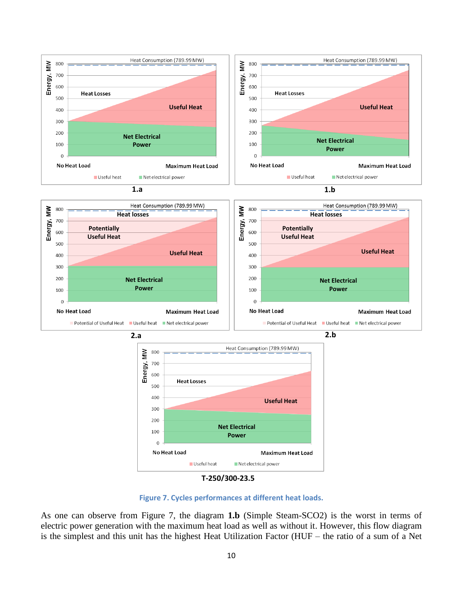

**T-250/300-23.5**

**Figure 7. Cycles performances at different heat loads.**

As one can observe from Figure 7, the diagram **1.b** (Simple Steam-SCO2) is the worst in terms of electric power generation with the maximum heat load as well as without it. However, this flow diagram is the simplest and this unit has the highest Heat Utilization Factor (HUF – the ratio of a sum of a Net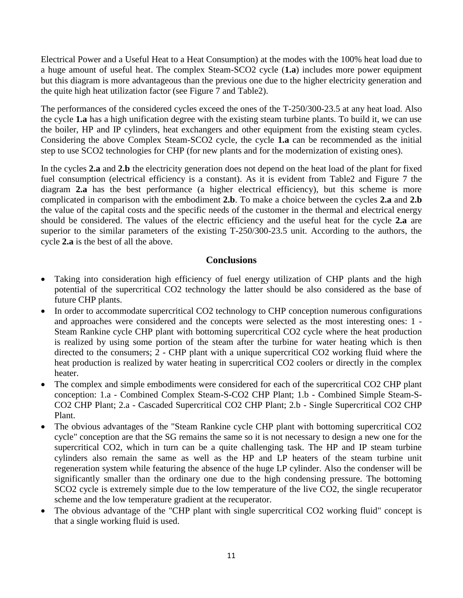Electrical Power and a Useful Heat to a Heat Consumption) at the modes with the 100% heat load due to a huge amount of useful heat. The complex Steam-SCO2 cycle (**1.a**) includes more power equipment but this diagram is more advantageous than the previous one due to the higher electricity generation and the quite high heat utilization factor (see Figure 7 and [Table2\)](#page-8-0).

The performances of the considered cycles exceed the ones of the T-250/300-23.5 at any heat load. Also the cycle **1.a** has a high unification degree with the existing steam turbine plants. To build it, we can use the boiler, HP and IP cylinders, heat exchangers and other equipment from the existing steam cycles. Considering the above Complex Steam-SCO2 cycle, the cycle **1.a** can be recommended as the initial step to use SCO2 technologies for CHP (for new plants and for the modernization of existing ones).

In the cycles **2.a** and **2.b** the electricity generation does not depend on the heat load of the plant for fixed fuel consumption (electrical efficiency is a constant). As it is evident from [Table2](#page-8-0) and Figure 7 the diagram **2.a** has the best performance (a higher electrical efficiency), but this scheme is more complicated in comparison with the embodiment **2.b**. To make a choice between the cycles **2.a** and **2.b** the value of the capital costs and the specific needs of the customer in the thermal and electrical energy should be considered. The values of the electric efficiency and the useful heat for the cycle **2.a** are superior to the similar parameters of the existing T-250/300-23.5 unit. According to the authors, the cycle **2.a** is the best of all the above.

## **Conclusions**

- Taking into consideration high efficiency of fuel energy utilization of CHP plants and the high potential of the supercritical CO2 technology the latter should be also considered as the base of future CHP plants.
- In order to accommodate supercritical CO2 technology to CHP conception numerous configurations and approaches were considered and the concepts were selected as the most interesting ones: 1 - Steam Rankine cycle CHP plant with bottoming supercritical CO2 cycle where the heat production is realized by using some portion of the steam after the turbine for water heating which is then directed to the consumers; 2 - CHP plant with a unique supercritical CO2 working fluid where the heat production is realized by water heating in supercritical CO2 coolers or directly in the complex heater.
- The complex and simple embodiments were considered for each of the supercritical CO2 CHP plant conception: 1.a - Combined Complex Steam-S-CO2 CHP Plant; 1.b - Combined Simple Steam-S-CO2 CHP Plant; 2.a - Cascaded Supercritical CO2 CHP Plant; 2.b - Single Supercritical CO2 CHP Plant.
- The obvious advantages of the "Steam Rankine cycle CHP plant with bottoming supercritical CO2 cycle" conception are that the SG remains the same so it is not necessary to design a new one for the supercritical CO2, which in turn can be a quite challenging task. The HP and IP steam turbine cylinders also remain the same as well as the HP and LP heaters of the steam turbine unit regeneration system while featuring the absence of the huge LP cylinder. Also the condenser will be significantly smaller than the ordinary one due to the high condensing pressure. The bottoming SCO2 cycle is extremely simple due to the low temperature of the live CO2, the single recuperator scheme and the low temperature gradient at the recuperator.
- The obvious advantage of the "CHP plant with single supercritical CO2 working fluid" concept is that a single working fluid is used.